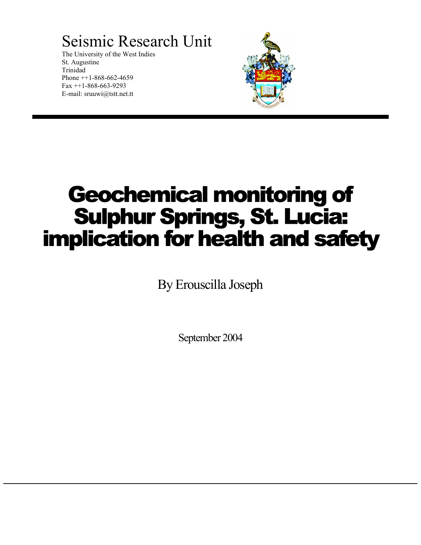Seismic Research Unit

The University of the West Indies St. Augustine Trinidad Phone  $++1-868-662-4659$ Fax ++1-868-663-9293 E-mail: sruuwi@tstt.net.tt



# Geochemical monitoring of Sulphur Springs, St. Lucia: implication for health and safety

By Erouscilla Joseph

September 2004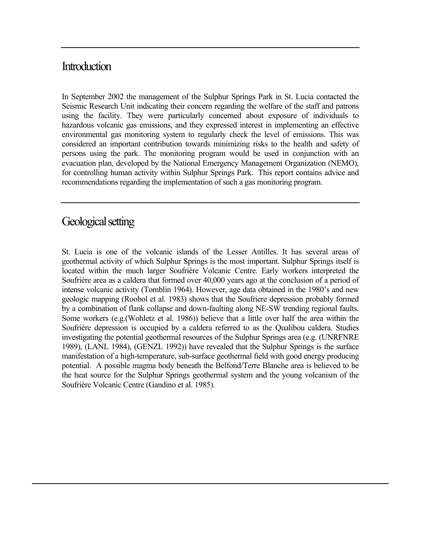# **Introduction**

In September 2002 the management of the Sulphur Springs Park in St. Lucia contacted the Seismic Research Unit indicating their concern regarding the welfare of the staff and patrons using the facility. They were particularly concerned about exposure of individuals to hazardous volcanic gas emissions, and they expressed interest in implementing an effective environmental gas monitoring system to regularly check the level of emissions. This was considered an important contribution towards minimizing risks to the health and safety of persons using the park. The monitoring program would be used in conjunction with an evacuation plan, developed by the National Emergency Management Organization (NEMO), for controlling human activity within Sulphur Springs Park. This report contains advice and recommendations regarding the implementation of such a gas monitoring program.

# Geological setting

St. Lucia is one of the volcanic islands of the Lesser Antilles. It has several areas of geothermal activity of which Sulphur Springs is the most important. Sulphur Springs itself is located within the much larger Soufrière Volcanic Centre. Early workers interpreted the Soufrière area as a caldera that formed over 40,000 years ago at the conclusion of a period of intense volcanic activity (Tomblin 1964). However, age data obtained in the 1980's and new geologic mapping (Roobol et al. 1983) shows that the Soufriere depression probably formed by a combination of flank collapse and down-faulting along NE-SW trending regional faults. Some workers (e.g.(Wohletz et al. 1986)) believe that a little over half the area within the Soufrière depression is occupied by a caldera referred to as the Qualibou caldera. Studies investigating the potential geothermal resources of the Sulphur Springs area (e.g. (UNRFNRE 1989), (LANL 1984), (GENZL 1992)) have revealed that the Sulphur Springs is the surface manifestation of a high-temperature, sub-surface geothermal field with good energy producing potential. A possible magma body beneath the Belfond/Terre Blanche area is believed to be the heat source for the Sulphur Springs geothermal system and the young volcanism of the Soufrière Volcanic Centre (Gandino et al. 1985).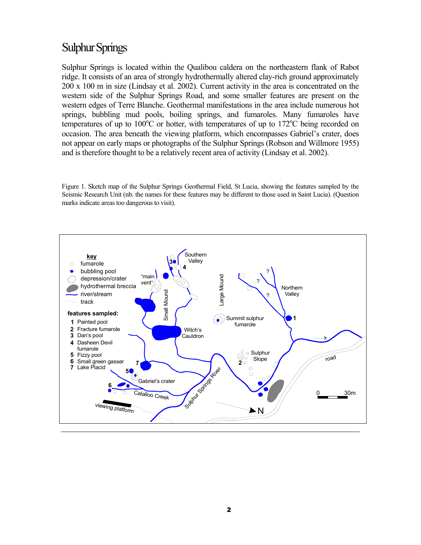# Sulphur Springs

Sulphur Springs is located within the Qualibou caldera on the northeastern flank of Rabot ridge. It consists of an area of strongly hydrothermally altered clay-rich ground approximately 200 x 100 m in size (Lindsay et al. 2002). Current activity in the area is concentrated on the western side of the Sulphur Springs Road, and some smaller features are present on the western edges of Terre Blanche. Geothermal manifestations in the area include numerous hot springs, bubbling mud pools, boiling springs, and fumaroles. Many fumaroles have temperatures of up to  $100^{\circ}$ C or hotter, with temperatures of up to  $172^{\circ}$ C being recorded on occasion. The area beneath the viewing platform, which encompasses Gabriel's crater, does not appear on early maps or photographs of the Sulphur Springs (Robson and Willmore 1955) and is therefore thought to be a relatively recent area of activity (Lindsay et al. 2002).

Figure 1. Sketch map of the Sulphur Springs Geothermal Field, St Lucia, showing the features sampled by the Seismic Research Unit (nb. the names for these features may be different to those used in Saint Lucia). (Question marks indicate areas too dangerous to visit).

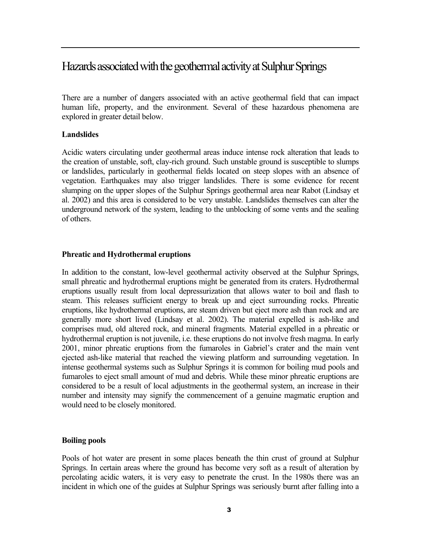# Hazards associated with the geothermal activity at Sulphur Springs

There are a number of dangers associated with an active geothermal field that can impact human life, property, and the environment. Several of these hazardous phenomena are explored in greater detail below.

#### **Landslides**

Acidic waters circulating under geothermal areas induce intense rock alteration that leads to the creation of unstable, soft, clay-rich ground. Such unstable ground is susceptible to slumps or landslides, particularly in geothermal fields located on steep slopes with an absence of vegetation. Earthquakes may also trigger landslides. There is some evidence for recent slumping on the upper slopes of the Sulphur Springs geothermal area near Rabot (Lindsay et al. 2002) and this area is considered to be very unstable. Landslides themselves can alter the underground network of the system, leading to the unblocking of some vents and the sealing of others.

#### **Phreatic and Hydrothermal eruptions**

In addition to the constant, low-level geothermal activity observed at the Sulphur Springs, small phreatic and hydrothermal eruptions might be generated from its craters. Hydrothermal eruptions usually result from local depressurization that allows water to boil and flash to steam. This releases sufficient energy to break up and eject surrounding rocks. Phreatic eruptions, like hydrothermal eruptions, are steam driven but eject more ash than rock and are generally more short lived (Lindsay et al. 2002). The material expelled is ash-like and comprises mud, old altered rock, and mineral fragments. Material expelled in a phreatic or hydrothermal eruption is not juvenile, i.e. these eruptions do not involve fresh magma. In early 2001, minor phreatic eruptions from the fumaroles in Gabriel's crater and the main vent ejected ash-like material that reached the viewing platform and surrounding vegetation. In intense geothermal systems such as Sulphur Springs it is common for boiling mud pools and fumaroles to eject small amount of mud and debris. While these minor phreatic eruptions are considered to be a result of local adjustments in the geothermal system, an increase in their number and intensity may signify the commencement of a genuine magmatic eruption and would need to be closely monitored.

#### **Boiling pools**

Pools of hot water are present in some places beneath the thin crust of ground at Sulphur Springs. In certain areas where the ground has become very soft as a result of alteration by percolating acidic waters, it is very easy to penetrate the crust. In the 1980s there was an incident in which one of the guides at Sulphur Springs was seriously burnt after falling into a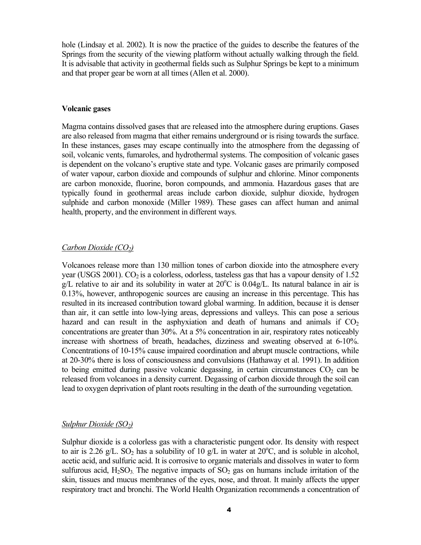hole (Lindsay et al. 2002). It is now the practice of the guides to describe the features of the Springs from the security of the viewing platform without actually walking through the field. It is advisable that activity in geothermal fields such as Sulphur Springs be kept to a minimum and that proper gear be worn at all times (Allen et al. 2000).

#### **Volcanic gases**

Magma contains dissolved gases that are released into the atmosphere during eruptions. Gases are also released from magma that either remains underground or is rising towards the surface. In these instances, gases may escape continually into the atmosphere from the degassing of soil, volcanic vents, fumaroles, and hydrothermal systems. The composition of volcanic gases is dependent on the volcano's eruptive state and type. Volcanic gases are primarily composed of water vapour, carbon dioxide and compounds of sulphur and chlorine. Minor components are carbon monoxide, fluorine, boron compounds, and ammonia. Hazardous gases that are typically found in geothermal areas include carbon dioxide, sulphur dioxide, hydrogen sulphide and carbon monoxide (Miller 1989). These gases can affect human and animal health, property, and the environment in different ways.

#### *Carbon Dioxide (CO2)*

Volcanoes release more than 130 million tones of carbon dioxide into the atmosphere every year (USGS 2001).  $CO<sub>2</sub>$  is a colorless, odorless, tasteless gas that has a vapour density of 1.52  $g/L$  relative to air and its solubility in water at 20 $^{\circ}$ C is 0.04g/L. Its natural balance in air is 0.13%, however, anthropogenic sources are causing an increase in this percentage. This has resulted in its increased contribution toward global warming. In addition, because it is denser than air, it can settle into low-lying areas, depressions and valleys. This can pose a serious hazard and can result in the asphyxiation and death of humans and animals if  $CO<sub>2</sub>$ concentrations are greater than 30%. At a 5% concentration in air, respiratory rates noticeably increase with shortness of breath, headaches, dizziness and sweating observed at 6-10%. Concentrations of 10-15% cause impaired coordination and abrupt muscle contractions, while at 20-30% there is loss of consciousness and convulsions (Hathaway et al. 1991). In addition to being emitted during passive volcanic degassing, in certain circumstances  $CO<sub>2</sub>$  can be released from volcanoes in a density current. Degassing of carbon dioxide through the soil can lead to oxygen deprivation of plant roots resulting in the death of the surrounding vegetation.

#### *Sulphur Dioxide (SO<sub>2</sub>)*

Sulphur dioxide is a colorless gas with a characteristic pungent odor. Its density with respect to air is 2.26 g/L. SO<sub>2</sub> has a solubility of 10 g/L in water at  $20^{\circ}$ C, and is soluble in alcohol, acetic acid, and sulfuric acid. It is corrosive to organic materials and dissolves in water to form sulfurous acid,  $H_2SO_3$ . The negative impacts of  $SO_2$  gas on humans include irritation of the skin, tissues and mucus membranes of the eyes, nose, and throat. It mainly affects the upper respiratory tract and bronchi. The World Health Organization recommends a concentration of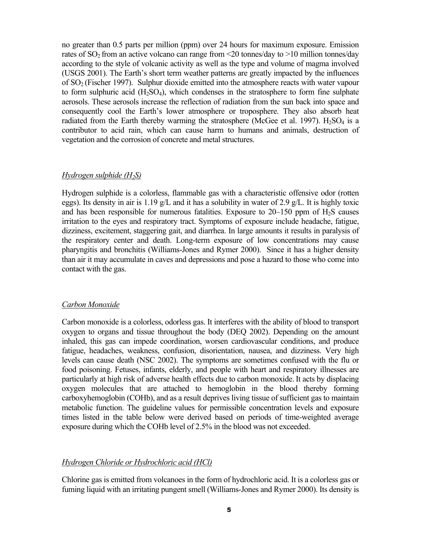no greater than 0.5 parts per million (ppm) over 24 hours for maximum exposure. Emission rates of  $SO<sub>2</sub>$  from an active volcano can range from  $\leq$  tonnes/day to  $>$ 10 million tonnes/day according to the style of volcanic activity as well as the type and volume of magma involved (USGS 2001). The Earth's short term weather patterns are greatly impacted by the influences of  $SO<sub>2</sub>$  (Fischer 1997). Sulphur dioxide emitted into the atmosphere reacts with water vapour to form sulphuric acid  $(H_2SO_4)$ , which condenses in the stratosphere to form fine sulphate aerosols. These aerosols increase the reflection of radiation from the sun back into space and consequently cool the Earth's lower atmosphere or troposphere. They also absorb heat radiated from the Earth thereby warming the stratosphere (McGee et al. 1997).  $H_2SO_4$  is a contributor to acid rain, which can cause harm to humans and animals, destruction of vegetation and the corrosion of concrete and metal structures.

#### *Hydrogen sulphide (H2S)*

Hydrogen sulphide is a colorless, flammable gas with a characteristic offensive odor (rotten eggs). Its density in air is 1.19 g/L and it has a solubility in water of 2.9 g/L. It is highly toxic and has been responsible for numerous fatalities. Exposure to  $20-150$  ppm of  $H_2S$  causes irritation to the eyes and respiratory tract. Symptoms of exposure include headache, fatigue, dizziness, excitement, staggering gait, and diarrhea. In large amounts it results in paralysis of the respiratory center and death. Long-term exposure of low concentrations may cause pharyngitis and bronchitis (Williams-Jones and Rymer 2000). Since it has a higher density than air it may accumulate in caves and depressions and pose a hazard to those who come into contact with the gas.

#### *Carbon Monoxide*

Carbon monoxide is a colorless, odorless gas. It interferes with the ability of blood to transport oxygen to organs and tissue throughout the body (DEQ 2002). Depending on the amount inhaled, this gas can impede coordination, worsen cardiovascular conditions, and produce fatigue, headaches, weakness, confusion, disorientation, nausea, and dizziness. Very high levels can cause death (NSC 2002). The symptoms are sometimes confused with the flu or food poisoning. Fetuses, infants, elderly, and people with heart and respiratory illnesses are particularly at high risk of adverse health effects due to carbon monoxide. It acts by displacing oxygen molecules that are attached to hemoglobin in the blood thereby forming carboxyhemoglobin (COHb), and as a result deprives living tissue of sufficient gas to maintain metabolic function. The guideline values for permissible concentration levels and exposure times listed in the table below were derived based on periods of time-weighted average exposure during which the COHb level of 2.5% in the blood was not exceeded.

#### *Hydrogen Chloride or Hydrochloric acid (HCl)*

Chlorine gas is emitted from volcanoes in the form of hydrochloric acid. It is a colorless gas or fuming liquid with an irritating pungent smell (Williams-Jones and Rymer 2000). Its density is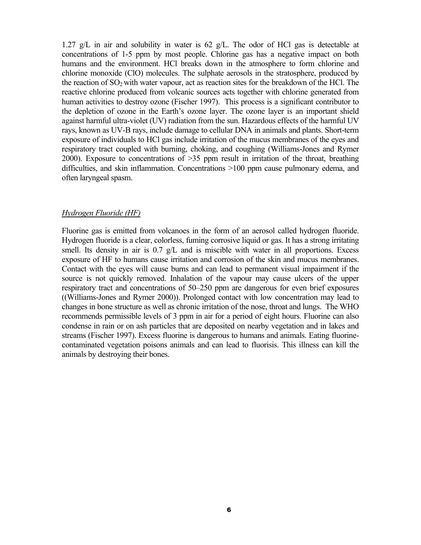1.27 g/L in air and solubility in water is 62 g/L. The odor of HCl gas is detectable at concentrations of 1-5 ppm by most people. Chlorine gas has a negative impact on both humans and the environment. HCl breaks down in the atmosphere to form chlorine and chlorine monoxide (ClO) molecules. The sulphate aerosols in the stratosphere, produced by the reaction of  $SO_2$  with water vapour, act as reaction sites for the breakdown of the HCl. The reactive chlorine produced from volcanic sources acts together with chlorine generated from human activities to destroy ozone (Fischer 1997). This process is a significant contributor to the depletion of ozone in the Earth's ozone layer. The ozone layer is an important shield against harmful ultra-violet (UV) radiation from the sun. Hazardous effects of the harmful UV rays, known as UV-B rays, include damage to cellular DNA in animals and plants. Short-term exposure of individuals to HCl gas include irritation of the mucus membranes of the eyes and respiratory tract coupled with burning, choking, and coughing (Williams-Jones and Rymer 2000). Exposure to concentrations of >35 ppm result in irritation of the throat, breathing difficulties, and skin inflammation. Concentrations >100 ppm cause pulmonary edema, and often laryngeal spasm.

#### *Hydrogen Fluoride (HF)*

Fluorine gas is emitted from volcanoes in the form of an aerosol called hydrogen fluoride. Hydrogen fluoride is a clear, colorless, fuming corrosive liquid or gas. It has a strong irritating smell. Its density in air is 0.7 g/L and is miscible with water in all proportions. Excess exposure of HF to humans cause irritation and corrosion of the skin and mucus membranes. Contact with the eyes will cause burns and can lead to permanent visual impairment if the source is not quickly removed. Inhalation of the vapour may cause ulcers of the upper respiratory tract and concentrations of 50–250 ppm are dangerous for even brief exposures ((Williams-Jones and Rymer 2000)). Prolonged contact with low concentration may lead to changes in bone structure as well as chronic irritation of the nose, throat and lungs. The WHO recommends permissible levels of 3 ppm in air for a period of eight hours. Fluorine can also condense in rain or on ash particles that are deposited on nearby vegetation and in lakes and streams (Fischer 1997). Excess fluorine is dangerous to humans and animals. Eating fluorinecontaminated vegetation poisons animals and can lead to fluorisis. This illness can kill the animals by destroying their bones.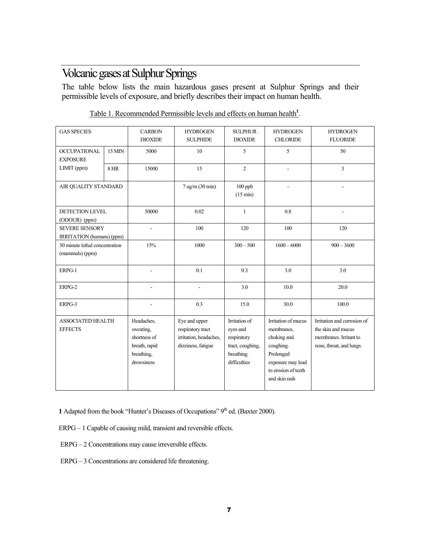# Volcanic gases at Sulphur Springs

The table below lists the main hazardous gases present at Sulphur Springs and their permissible levels of exposure, and briefly describes their impact on human health.

| <b>GAS SPECIES</b>                                 |             | <b>CARBON</b><br><b>DIOXIDE</b>                                                      | <b>HYDROGEN</b><br><b>SULPHIDE</b>                                                 | <b>SULPHUR</b><br><b>DIOXIDE</b>                                                          | <b>HYDROGEN</b><br><b>CHLORIDE</b>                                                                                                      | <b>HYDROGEN</b><br><b>FLUORIDE</b>                                                                      |
|----------------------------------------------------|-------------|--------------------------------------------------------------------------------------|------------------------------------------------------------------------------------|-------------------------------------------------------------------------------------------|-----------------------------------------------------------------------------------------------------------------------------------------|---------------------------------------------------------------------------------------------------------|
| <b>OCCUPATIONAL</b><br><b>EXPOSURE</b>             | 15 MIN      | 5000                                                                                 | 10                                                                                 | 5                                                                                         | 5                                                                                                                                       | 50                                                                                                      |
| LIMIT (ppm)                                        | <b>8 HR</b> | 15000                                                                                | 15                                                                                 | $\sqrt{2}$                                                                                | $\overline{a}$                                                                                                                          | $\overline{3}$                                                                                          |
| AIR QUALITY STANDARD                               |             |                                                                                      | $7$ ug/m $(30 \text{ min})$                                                        | 100 ppb<br>$(15 \text{ min})$                                                             |                                                                                                                                         |                                                                                                         |
| <b>DETECTION LEVEL</b><br>(ODOUR) (ppm)            |             | 50000                                                                                | 0.02                                                                               | $\mathbf{1}$                                                                              | 0.8                                                                                                                                     |                                                                                                         |
| <b>SEVERE SENSORY</b><br>IRRITATION (humans) (ppm) |             |                                                                                      | 100                                                                                | 120                                                                                       | 100                                                                                                                                     | 120                                                                                                     |
| 30 minute lethal concentration<br>(mammals) (ppm)  |             | 15%                                                                                  | 1000                                                                               | $300 - 500$                                                                               | $1600 - 6000$                                                                                                                           | $900 - 3600$                                                                                            |
| ERPG-1                                             |             | L,                                                                                   | 0.1                                                                                | 0.3                                                                                       | 3.0                                                                                                                                     | 3.0                                                                                                     |
| ERPG-2                                             |             | L,                                                                                   | $\overline{\phantom{a}}$                                                           | 3.0                                                                                       | 10.0                                                                                                                                    | 20.0                                                                                                    |
| ERPG-3                                             |             | $\overline{a}$                                                                       | 0.3                                                                                | 15.0                                                                                      | 30.0                                                                                                                                    | 100.0                                                                                                   |
| <b>ASSOCIATED HEALTH</b><br><b>EFFECTS</b>         |             | Headaches,<br>sweating,<br>shortness of<br>breath, rapid<br>breathing,<br>drowsiness | Eye and upper<br>respiratory tract<br>irritation, headaches,<br>dizziness, fatigue | Irritation of<br>eyes and<br>respiratory<br>tract, coughing,<br>breathing<br>difficulties | Irritation of mucus<br>membranes,<br>choking and<br>coughing.<br>Prolonged<br>exposure may lead<br>to erosion of teeth<br>and skin rash | Irritation and corrosion of<br>the skin and mucus<br>membranes. Irritant to<br>nose, throat, and lungs. |

Table 1. Recommended Permissible levels and effects on human health**<sup>1</sup>** .

**1** Adapted from the book "Hunter's Diseases of Occupations" 9<sup>th</sup> ed. (Baxter 2000).

ERPG – 1 Capable of causing mild, transient and reversible effects.

ERPG – 2 Concentrations may cause irreversible effects.

ERPG – 3 Concentrations are considered life threatening.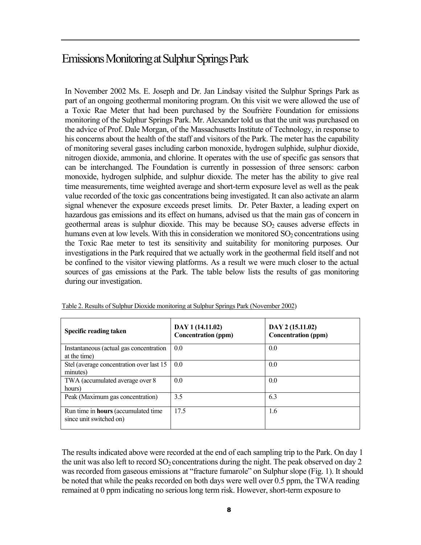# Emissions Monitoring at Sulphur Springs Park

In November 2002 Ms. E. Joseph and Dr. Jan Lindsay visited the Sulphur Springs Park as part of an ongoing geothermal monitoring program. On this visit we were allowed the use of a Toxic Rae Meter that had been purchased by the Soufrière Foundation for emissions monitoring of the Sulphur Springs Park. Mr. Alexander told us that the unit was purchased on the advice of Prof. Dale Morgan, of the Massachusetts Institute of Technology, in response to his concerns about the health of the staff and visitors of the Park. The meter has the capability of monitoring several gases including carbon monoxide, hydrogen sulphide, sulphur dioxide, nitrogen dioxide, ammonia, and chlorine. It operates with the use of specific gas sensors that can be interchanged. The Foundation is currently in possession of three sensors: carbon monoxide, hydrogen sulphide, and sulphur dioxide. The meter has the ability to give real time measurements, time weighted average and short-term exposure level as well as the peak value recorded of the toxic gas concentrations being investigated. It can also activate an alarm signal whenever the exposure exceeds preset limits. Dr. Peter Baxter, a leading expert on hazardous gas emissions and its effect on humans, advised us that the main gas of concern in geothermal areas is sulphur dioxide. This may be because  $SO<sub>2</sub>$  causes adverse effects in humans even at low levels. With this in consideration we monitored  $SO<sub>2</sub>$  concentrations using the Toxic Rae meter to test its sensitivity and suitability for monitoring purposes. Our investigations in the Park required that we actually work in the geothermal field itself and not be confined to the visitor viewing platforms. As a result we were much closer to the actual sources of gas emissions at the Park. The table below lists the results of gas monitoring during our investigation.

| Specific reading taken                                                | DAY 1 (14.11.02)<br><b>Concentration (ppm)</b> | DAY 2 (15.11.02)<br><b>Concentration (ppm)</b> |
|-----------------------------------------------------------------------|------------------------------------------------|------------------------------------------------|
| Instantaneous (actual gas concentration<br>at the time)               | 0.0                                            | 0.0                                            |
| Stel (average concentration over last 15)<br>minutes)                 | 0.0                                            | 0.0                                            |
| TWA (accumulated average over 8<br>hours)                             | 0.0                                            | 0.0                                            |
| Peak (Maximum gas concentration)                                      | 3.5                                            | 6.3                                            |
| Run time in <b>hours</b> (accumulated time<br>since unit switched on) | 17.5                                           | 1.6                                            |

Table 2. Results of Sulphur Dioxide monitoring at Sulphur Springs Park (November 2002)

The results indicated above were recorded at the end of each sampling trip to the Park. On day 1 the unit was also left to record  $SO_2$  concentrations during the night. The peak observed on day 2 was recorded from gaseous emissions at "fracture fumarole" on Sulphur slope (Fig. 1). It should be noted that while the peaks recorded on both days were well over 0.5 ppm, the TWA reading remained at 0 ppm indicating no seriouslong term risk. However, short-term exposure to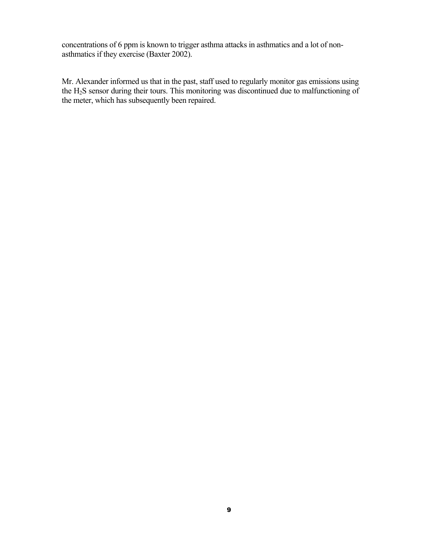concentrations of 6 ppm is known to trigger asthma attacks in asthmatics and a lot of nonasthmatics if they exercise (Baxter 2002).

Mr. Alexander informed us that in the past, staff used to regularly monitor gas emissions using the H2S sensor during their tours. This monitoring was discontinued due to malfunctioning of the meter, which has subsequently been repaired.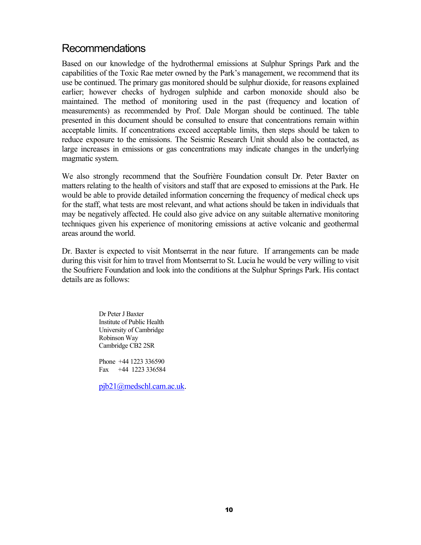# Recommendations

Based on our knowledge of the hydrothermal emissions at Sulphur Springs Park and the capabilities of the Toxic Rae meter owned by the Park's management, we recommend that its use be continued. The primary gas monitored should be sulphur dioxide, for reasons explained earlier; however checks of hydrogen sulphide and carbon monoxide should also be maintained. The method of monitoring used in the past (frequency and location of measurements) as recommended by Prof. Dale Morgan should be continued. The table presented in this document should be consulted to ensure that concentrations remain within acceptable limits. If concentrations exceed acceptable limits, then steps should be taken to reduce exposure to the emissions. The Seismic Research Unit should also be contacted, as large increases in emissions or gas concentrations may indicate changes in the underlying magmatic system.

We also strongly recommend that the Soufrière Foundation consult Dr. Peter Baxter on matters relating to the health of visitors and staff that are exposed to emissions at the Park. He would be able to provide detailed information concerning the frequency of medical check ups for the staff, what tests are most relevant, and what actions should be taken in individuals that may be negatively affected. He could also give advice on any suitable alternative monitoring techniques given his experience of monitoring emissions at active volcanic and geothermal areas around the world.

Dr. Baxter is expected to visit Montserrat in the near future. If arrangements can be made during this visit for him to travel from Montserrat to St. Lucia he would be very willing to visit the Soufriere Foundation and look into the conditions at the Sulphur Springs Park. His contact details are as follows:

> Dr Peter J Baxter Institute of Public Health University of Cambridge Robinson Way Cambridge CB2 2SR

> Phone +44 1223 336590 Fax +44 1223 336584

pjb21@medschl.cam.ac.uk.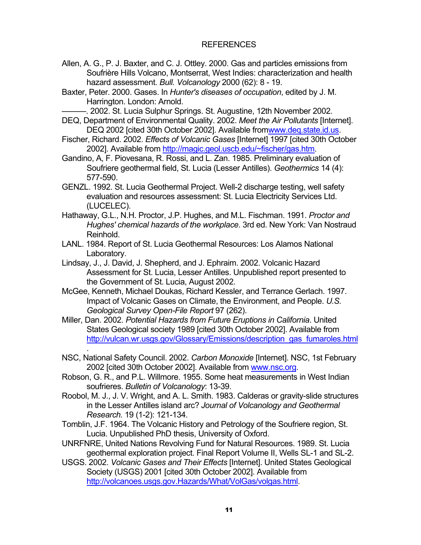#### REFERENCES

- Allen, A. G., P. J. Baxter, and C. J. Ottley. 2000. Gas and particles emissions from Soufrière Hills Volcano, Montserrat, West Indies: characterization and health hazard assessment. *Bull. Volcanology* 2000 (62): 8 - 19.
- Baxter, Peter. 2000. Gases. In *Hunter's diseases of occupation*, edited by J. M. Harrington. London: Arnold.

. 2002. St. Lucia Sulphur Springs. St. Augustine, 12th November 2002.

- DEQ, Department of Environmental Quality. 2002. *Meet the Air Pollutants* [Internet]. DEQ 2002 [cited 30th October 2002]. Available fromwww.deq.state.id.us.
- Fischer, Richard. 2002. *Effects of Volcanic Gases* [Internet] 1997 [cited 30th October 2002]. Available from http://magic.geol.uscb.edu/~fischer/gas.htm.
- Gandino, A, F. Piovesana, R. Rossi, and L. Zan. 1985. Preliminary evaluation of Soufriere geothermal field, St. Lucia (Lesser Antilles). *Geothermics* 14 (4): 577-590.
- GENZL. 1992. St. Lucia Geothermal Project. Well-2 discharge testing, well safety evaluation and resources assessment: St. Lucia Electricity Services Ltd. (LUCELEC).
- Hathaway, G.L., N.H. Proctor, J.P. Hughes, and M.L. Fischman. 1991. *Proctor and Hughes' chemical hazards of the workplace*. 3rd ed. New York: Van Nostraud Reinhold.
- LANL. 1984. Report of St. Lucia Geothermal Resources: Los Alamos National Laboratory.
- Lindsay, J., J. David, J. Shepherd, and J. Ephraim. 2002. Volcanic Hazard Assessment for St. Lucia, Lesser Antilles. Unpublished report presented to the Government of St. Lucia, August 2002.
- McGee, Kenneth, Michael Doukas, Richard Kessler, and Terrance Gerlach. 1997. Impact of Volcanic Gases on Climate, the Environment, and People. *U.S. Geological Survey Open-File Report* 97 (262).
- Miller, Dan. 2002. *Potential Hazards from Future Eruptions in California*. United States Geological society 1989 [cited 30th October 2002]. Available from http://vulcan.wr.usgs.gov/Glossary/Emissions/description\_gas\_fumaroles.html
- NSC, National Safety Council. 2002. *Carbon Monoxide* [Internet]. NSC, 1st February 2002 [cited 30th October 2002]. Available from www.nsc.org.

.

- Robson, G. R., and P.L. Willmore. 1955. Some heat measurements in West Indian soufrieres. *Bulletin of Volcanology*: 13-39.
- Roobol, M. J., J. V. Wright, and A. L. Smith. 1983. Calderas or gravity-slide structures in the Lesser Antilles island arc? *Journal of Volcanology and Geothermal Research.* 19 (1-2): 121-134.
- Tomblin, J.F. 1964. The Volcanic History and Petrology of the Soufriere region, St. Lucia. Unpublished PhD thesis, University of Oxford.
- UNRFNRE, United Nations Revolving Fund for Natural Resources. 1989. St. Lucia geothermal exploration project. Final Report Volume II, Wells SL-1 and SL-2.
- USGS. 2002. *Volcanic Gases and Their Effects* [Internet]. United States Geological Society (USGS) 2001 [cited 30th October 2002]. Available from http://volcanoes.usgs.gov.Hazards/What/VolGas/volgas.html